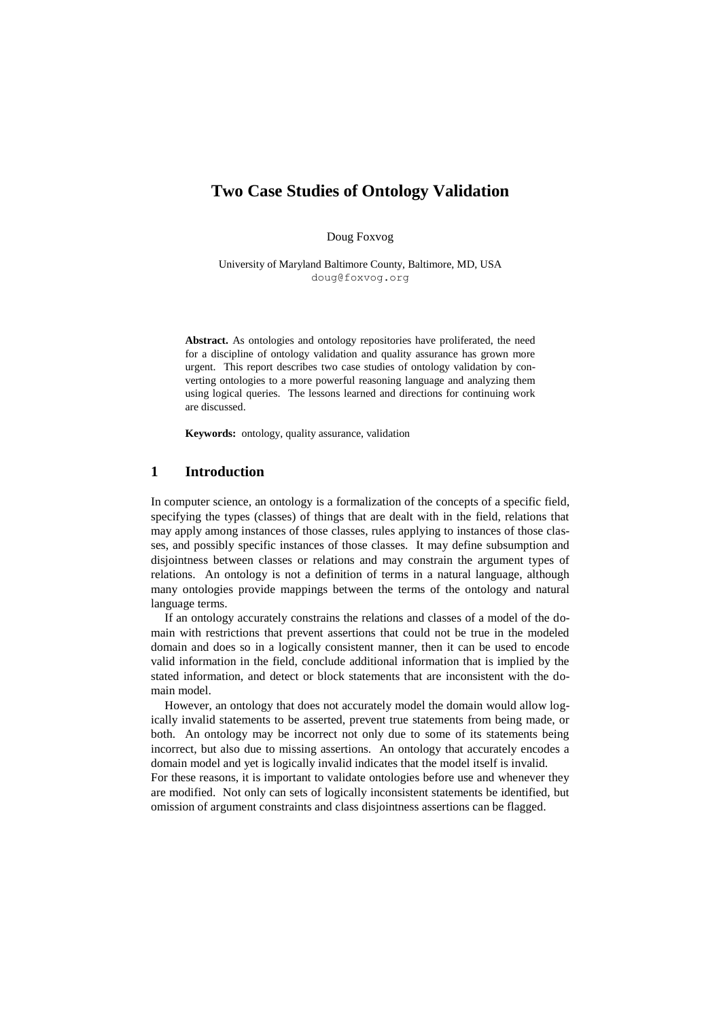# **Two Case Studies of Ontology Validation**

Doug Foxvog

University of Maryland Baltimore County, Baltimore, MD, USA [doug@foxvog.org](mailto:doug@foxvog.org)

**Abstract.** As ontologies and ontology repositories have proliferated, the need for a discipline of ontology validation and quality assurance has grown more urgent. This report describes two case studies of ontology validation by converting ontologies to a more powerful reasoning language and analyzing them using logical queries. The lessons learned and directions for continuing work are discussed.

**Keywords:** ontology, quality assurance, validation

### **1 Introduction**

In computer science, an ontology is a formalization of the concepts of a specific field, specifying the types (classes) of things that are dealt with in the field, relations that may apply among instances of those classes, rules applying to instances of those classes, and possibly specific instances of those classes. It may define subsumption and disjointness between classes or relations and may constrain the argument types of relations. An ontology is not a definition of terms in a natural language, although many ontologies provide mappings between the terms of the ontology and natural language terms.

If an ontology accurately constrains the relations and classes of a model of the domain with restrictions that prevent assertions that could not be true in the modeled domain and does so in a logically consistent manner, then it can be used to encode valid information in the field, conclude additional information that is implied by the stated information, and detect or block statements that are inconsistent with the domain model.

However, an ontology that does not accurately model the domain would allow logically invalid statements to be asserted, prevent true statements from being made, or both. An ontology may be incorrect not only due to some of its statements being incorrect, but also due to missing assertions. An ontology that accurately encodes a domain model and yet is logically invalid indicates that the model itself is invalid. For these reasons, it is important to validate ontologies before use and whenever they are modified. Not only can sets of logically inconsistent statements be identified, but

omission of argument constraints and class disjointness assertions can be flagged.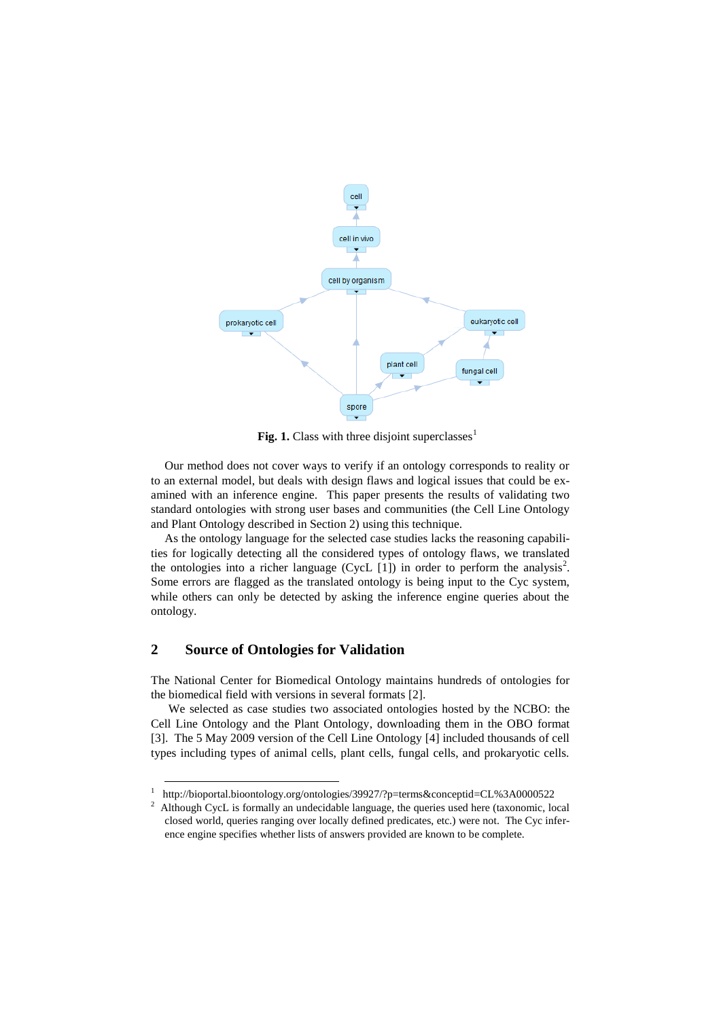

Fig. 1. Class with three disjoint superclasses<sup>1</sup>

Our method does not cover ways to verify if an ontology corresponds to reality or to an external model, but deals with design flaws and logical issues that could be examined with an inference engine. This paper presents the results of validating two standard ontologies with strong user bases and communities (the Cell Line Ontology and Plant Ontology described in Section 2) using this technique.

As the ontology language for the selected case studies lacks the reasoning capabilities for logically detecting all the considered types of ontology flaws, we translated the ontologies into a richer language (CycL  $[1]$ ) in order to perform the analysis<sup>2</sup>. Some errors are flagged as the translated ontology is being input to the Cyc system, while others can only be detected by asking the inference engine queries about the ontology.

## **2 Source of Ontologies for Validation**

-

The National Center for Biomedical Ontology maintains hundreds of ontologies for the biomedical field with versions in several formats [2].

We selected as case studies two associated ontologies hosted by the NCBO: the Cell Line Ontology and the Plant Ontology, downloading them in the OBO format [3]. The 5 May 2009 version of the Cell Line Ontology [4] included thousands of cell types including types of animal cells, plant cells, fungal cells, and prokaryotic cells.

<sup>1</sup> [http://bioportal.bioontology.org/ontologies/39927/?p=terms&conceptid=](http://bioportal.bioontology.org/ontologies/39927/?p=terms&conceptid)CL%3A0000522

<sup>2</sup> Although CycL is formally an undecidable language, the queries used here (taxonomic, local closed world, queries ranging over locally defined predicates, etc.) were not. The Cyc inference engine specifies whether lists of answers provided are known to be complete.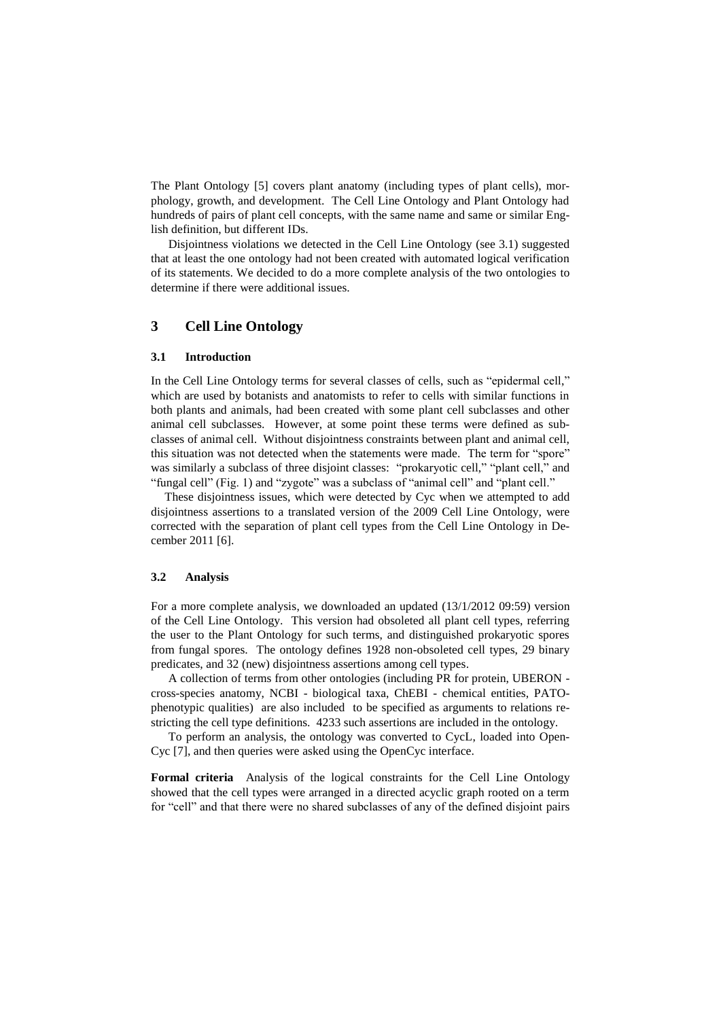The Plant Ontology [5] covers plant anatomy (including types of plant cells), morphology, growth, and development. The Cell Line Ontology and Plant Ontology had hundreds of pairs of plant cell concepts, with the same name and same or similar English definition, but different IDs.

Disjointness violations we detected in the Cell Line Ontology (see 3.1) suggested that at least the one ontology had not been created with automated logical verification of its statements. We decided to do a more complete analysis of the two ontologies to determine if there were additional issues.

# **3 Cell Line Ontology**

#### **3.1 Introduction**

In the Cell Line Ontology terms for several classes of cells, such as "epidermal cell," which are used by botanists and anatomists to refer to cells with similar functions in both plants and animals, had been created with some plant cell subclasses and other animal cell subclasses. However, at some point these terms were defined as subclasses of animal cell. Without disjointness constraints between plant and animal cell, this situation was not detected when the statements were made. The term for "spore" was similarly a subclass of three disjoint classes: "prokaryotic cell," "plant cell," and "fungal cell" (Fig. 1) and "zygote" was a subclass of "animal cell" and "plant cell."

These disjointness issues, which were detected by Cyc when we attempted to add disjointness assertions to a translated version of the 2009 Cell Line Ontology, were corrected with the separation of plant cell types from the Cell Line Ontology in December 2011 [6].

### **3.2 Analysis**

For a more complete analysis, we downloaded an updated (13/1/2012 09:59) version of the Cell Line Ontology. This version had obsoleted all plant cell types, referring the user to the Plant Ontology for such terms, and distinguished prokaryotic spores from fungal spores. The ontology defines 1928 non-obsoleted cell types, 29 binary predicates, and 32 (new) disjointness assertions among cell types.

A collection of terms from other ontologies (including PR for protein, UBERON cross-species anatomy, NCBI - biological taxa, ChEBI - chemical entities, PATOphenotypic qualities) are also included to be specified as arguments to relations restricting the cell type definitions. 4233 such assertions are included in the ontology.

To perform an analysis, the ontology was converted to CycL, loaded into Open-Cyc [7], and then queries were asked using the OpenCyc interface.

**Formal criteria** Analysis of the logical constraints for the Cell Line Ontology showed that the cell types were arranged in a directed acyclic graph rooted on a term for "cell" and that there were no shared subclasses of any of the defined disjoint pairs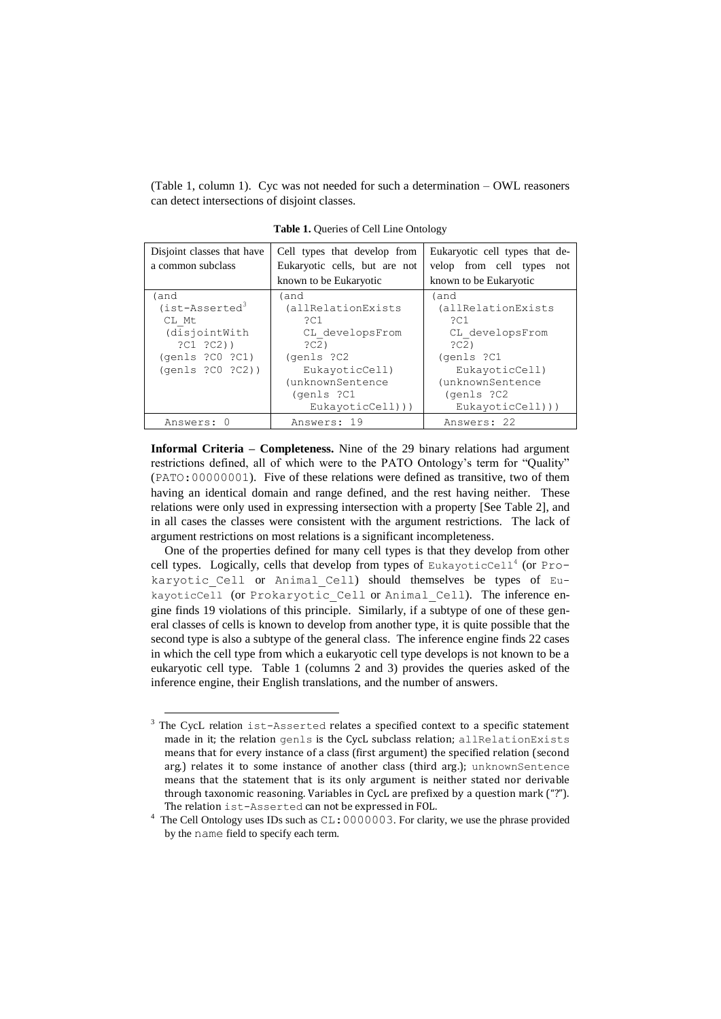(Table 1, column 1). Cyc was not needed for such a determination – OWL reasoners can detect intersections of disjoint classes.

| Disjoint classes that have<br>a common subclass                                                         | Cell types that develop from<br>Eukaryotic cells, but are not<br>known to be Eukaryotic                                                          | Eukaryotic cell types that de-<br>velop from cell types<br>not<br>known to be Eukaryotic                                                         |
|---------------------------------------------------------------------------------------------------------|--------------------------------------------------------------------------------------------------------------------------------------------------|--------------------------------------------------------------------------------------------------------------------------------------------------|
| (and<br>$(ist-Associated3)$<br>CL Mt<br>(disjointWith<br>?C1 ?C2)<br>(qents ?CO ?C1)<br>(qents ?CO ?C2) | (and<br>(allRelationExists<br>?C1<br>CL developsFrom<br>2C2<br>(genls ?C2<br>EukayoticCell)<br>(unknownSentence<br>(genls ?C1<br>EukayoticCell)) | (and<br>(allRelationExists<br>2C1<br>CL developsFrom<br>2C2<br>(genls ?C1<br>EukayoticCell)<br>(unknownSentence<br>(genls ?C2<br>EukayoticCell)) |
| Answers: 0                                                                                              | Answers: 19                                                                                                                                      | Answers: 22                                                                                                                                      |

**Table 1.** Queries of Cell Line Ontology

**Informal Criteria – Completeness.** Nine of the 29 binary relations had argument restrictions defined, all of which were to the PATO Ontology's term for "Quality" (PATO:00000001). Five of these relations were defined as transitive, two of them having an identical domain and range defined, and the rest having neither. These relations were only used in expressing intersection with a property [See Table 2], and in all cases the classes were consistent with the argument restrictions. The lack of argument restrictions on most relations is a significant incompleteness.

One of the properties defined for many cell types is that they develop from other cell types. Logically, cells that develop from types of EukayoticCell<sup>4</sup> (or Prokaryotic Cell or Animal Cell) should themselves be types of EukayoticCell (or Prokaryotic Cell or Animal Cell). The inference engine finds 19 violations of this principle. Similarly, if a subtype of one of these general classes of cells is known to develop from another type, it is quite possible that the second type is also a subtype of the general class. The inference engine finds 22 cases in which the cell type from which a eukaryotic cell type develops is not known to be a eukaryotic cell type. Table 1 (columns 2 and 3) provides the queries asked of the inference engine, their English translations, and the number of answers.

-

<sup>&</sup>lt;sup>3</sup> The CycL relation ist-Asserted relates a specified context to a specific statement made in it; the relation genls is the CycL subclass relation; allRelationExists means that for every instance of a class (first argument) the specified relation (second arg.) relates it to some instance of another class (third arg.); unknownSentence means that the statement that is its only argument is neither stated nor derivable through taxonomic reasoning. Variables in CycL are prefixed by a question mark ("?"). The relation ist-Asserted can not be expressed in FOL.

<sup>4</sup> The Cell Ontology uses IDs such as CL:0000003. For clarity, we use the phrase provided by the name field to specify each term.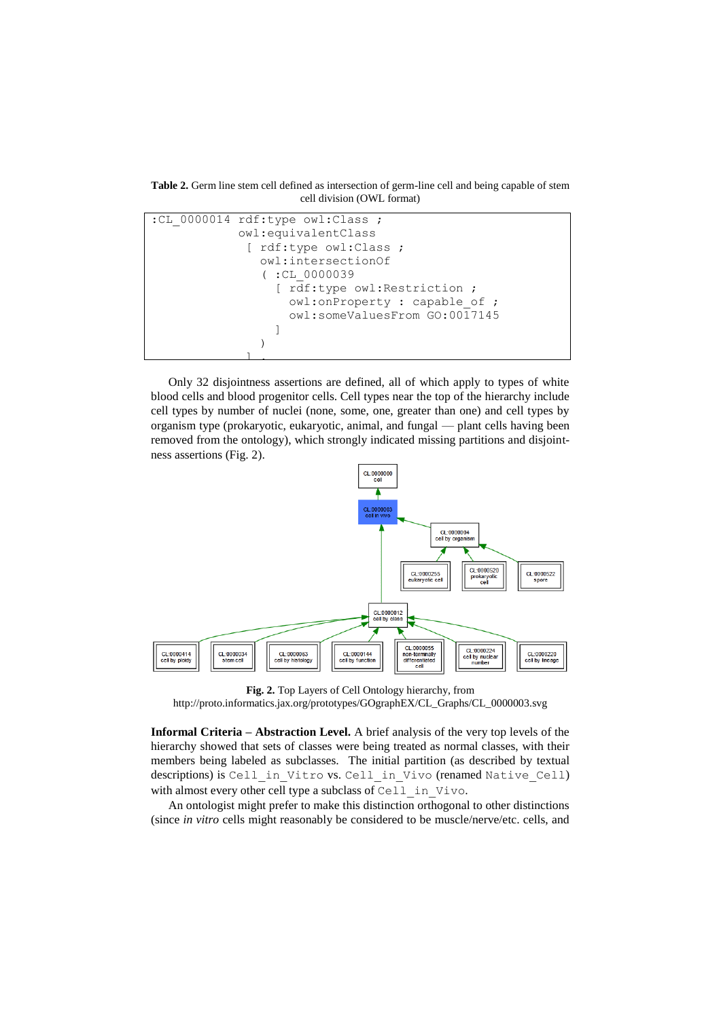**Table 2.** Germ line stem cell defined as intersection of germ-line cell and being capable of stem cell division (OWL format)



Only 32 disjointness assertions are defined, all of which apply to types of white blood cells and blood progenitor cells. Cell types near the top of the hierarchy include cell types by number of nuclei (none, some, one, greater than one) and cell types by organism type (prokaryotic, eukaryotic, animal, and fungal — plant cells having been removed from the ontology), which strongly indicated missing partitions and disjointness assertions (Fig. 2).



**Fig. 2.** Top Layers of Cell Ontology hierarchy, from http://proto.informatics.jax.org/prototypes/GOgraphEX/CL\_Graphs/CL\_0000003.svg

**Informal Criteria – Abstraction Level.** A brief analysis of the very top levels of the hierarchy showed that sets of classes were being treated as normal classes, with their members being labeled as subclasses. The initial partition (as described by textual descriptions) is Cell in Vitro vs. Cell in Vivo (renamed Native Cell) with almost every other cell type a subclass of Cell in Vivo.

An ontologist might prefer to make this distinction orthogonal to other distinctions (since *in vitro* cells might reasonably be considered to be muscle/nerve/etc. cells, and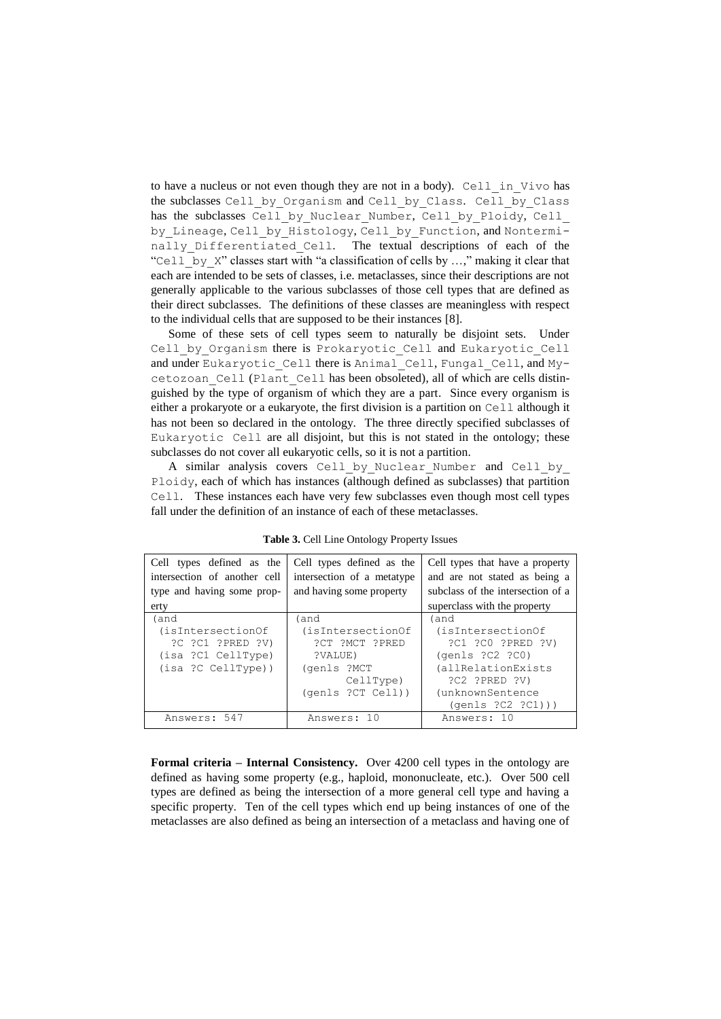to have a nucleus or not even though they are not in a body). Cell in Vivo has the subclasses Cell by Organism and Cell by Class. Cell by Class has the subclasses Cell by Nuclear Number, Cell by Ploidy, Cell by\_Lineage, Cell\_by\_Histology, Cell\_by\_Function, and Nonterminally Differentiated Cell. The textual descriptions of each of the "Cell by X" classes start with "a classification of cells by  $...,$ " making it clear that each are intended to be sets of classes, i.e. metaclasses, since their descriptions are not generally applicable to the various subclasses of those cell types that are defined as their direct subclasses. The definitions of these classes are meaningless with respect to the individual cells that are supposed to be their instances [8].

Some of these sets of cell types seem to naturally be disjoint sets. Under Cell by Organism there is Prokaryotic Cell and Eukaryotic Cell and under Eukaryotic Cell there is Animal Cell, Fungal Cell, and Mycetozoan\_Cell (Plant\_Cell has been obsoleted), all of which are cells distinguished by the type of organism of which they are a part. Since every organism is either a prokaryote or a eukaryote, the first division is a partition on Cell although it has not been so declared in the ontology. The three directly specified subclasses of Eukaryotic Cell are all disjoint, but this is not stated in the ontology; these subclasses do not cover all eukaryotic cells, so it is not a partition.

A similar analysis covers Cell by Nuclear Number and Cell by Ploidy, each of which has instances (although defined as subclasses) that partition Cell. These instances each have very few subclasses even though most cell types fall under the definition of an instance of each of these metaclasses.

| Cell types defined as the<br>intersection of another cell<br>type and having some prop-<br>erty | Cell types defined as the<br>intersection of a metatype<br>and having some property | Cell types that have a property<br>and are not stated as being a<br>subclass of the intersection of a<br>superclass with the property |
|-------------------------------------------------------------------------------------------------|-------------------------------------------------------------------------------------|---------------------------------------------------------------------------------------------------------------------------------------|
| (and<br>(isIntersectionOf<br>?C ?C1 ?PRED ?V)<br>(isa ?C1 CellType)<br>(isa ?C CellType))       | (and<br>(isIntersectionOf<br>?CT ?MCT ?PRED<br>?VALUE)<br>(genls ?MCT               | (and<br>(isIntersectionOf<br>?C1 ?C0 ?PRED ?V)<br>(qents ?C2 ?C0)<br>(allRelationExists                                               |
|                                                                                                 | CellType)<br>(qents ?CT Cell)                                                       | ?C2 ?PRED ?V)<br>(unknownSentence<br>$(\text{qents } ?C2 ?C1))$                                                                       |
| Answers: 547                                                                                    | Answers: 10                                                                         | Answers: 10                                                                                                                           |

**Table 3.** Cell Line Ontology Property Issues

**Formal criteria – Internal Consistency.** Over 4200 cell types in the ontology are defined as having some property (e.g., haploid, mononucleate, etc.). Over 500 cell types are defined as being the intersection of a more general cell type and having a specific property. Ten of the cell types which end up being instances of one of the metaclasses are also defined as being an intersection of a metaclass and having one of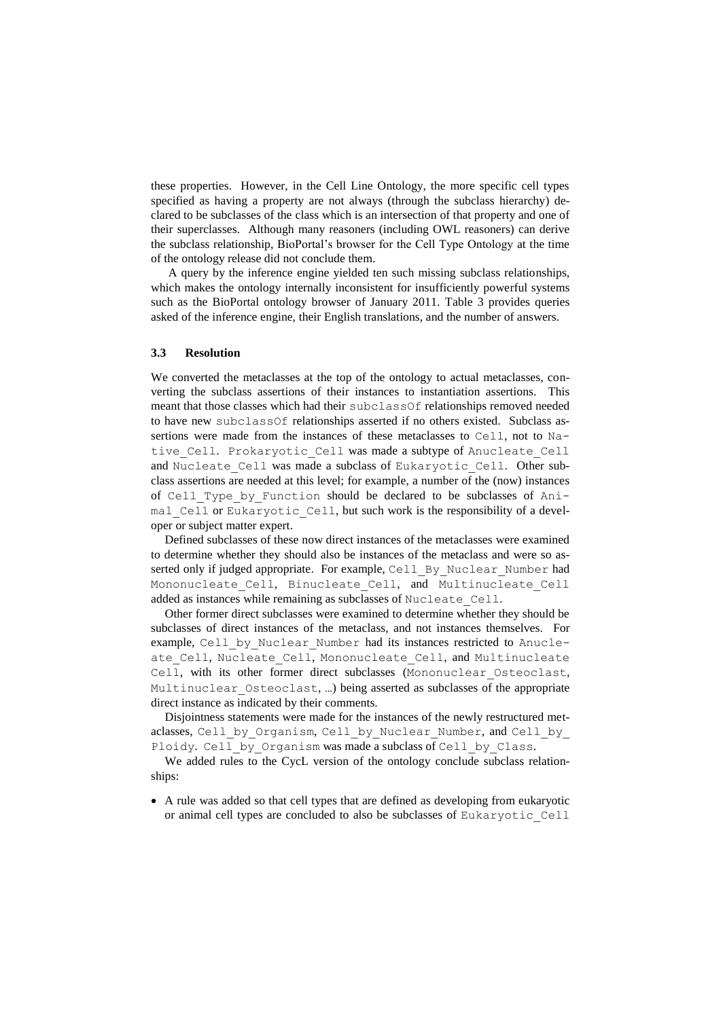these properties. However, in the Cell Line Ontology, the more specific cell types specified as having a property are not always (through the subclass hierarchy) declared to be subclasses of the class which is an intersection of that property and one of their superclasses. Although many reasoners (including OWL reasoners) can derive the subclass relationship, BioPortal's browser for the Cell Type Ontology at the time of the ontology release did not conclude them.

A query by the inference engine yielded ten such missing subclass relationships, which makes the ontology internally inconsistent for insufficiently powerful systems such as the BioPortal ontology browser of January 2011. Table 3 provides queries asked of the inference engine, their English translations, and the number of answers.

#### **3.3 Resolution**

We converted the metaclasses at the top of the ontology to actual metaclasses, converting the subclass assertions of their instances to instantiation assertions. This meant that those classes which had their subclassOf relationships removed needed to have new subclassOf relationships asserted if no others existed. Subclass assertions were made from the instances of these metaclasses to Cell, not to Native Cell. Prokaryotic Cell was made a subtype of Anucleate Cell and Nucleate Cell was made a subclass of Eukaryotic Cell. Other subclass assertions are needed at this level; for example, a number of the (now) instances of Cell Type by Function should be declared to be subclasses of Animal Cell or Eukaryotic Cell, but such work is the responsibility of a developer or subject matter expert.

Defined subclasses of these now direct instances of the metaclasses were examined to determine whether they should also be instances of the metaclass and were so asserted only if judged appropriate. For example, Cell\_By\_Nuclear\_Number had Mononucleate Cell, Binucleate Cell, and Multinucleate Cell added as instances while remaining as subclasses of Nucleate\_Cell.

Other former direct subclasses were examined to determine whether they should be subclasses of direct instances of the metaclass, and not instances themselves. For example, Cell by Nuclear Number had its instances restricted to Anucleate Cell, Nucleate Cell, Mononucleate Cell, and Multinucleate Cell, with its other former direct subclasses (Mononuclear Osteoclast, Multinuclear Osteoclast, ...) being asserted as subclasses of the appropriate direct instance as indicated by their comments.

Disjointness statements were made for the instances of the newly restructured metaclasses, Cell by Organism, Cell by Nuclear Number, and Cell by Ploidy. Cell by Organism was made a subclass of Cell by Class.

We added rules to the CycL version of the ontology conclude subclass relationships:

 A rule was added so that cell types that are defined as developing from eukaryotic or animal cell types are concluded to also be subclasses of Eukaryotic\_Cell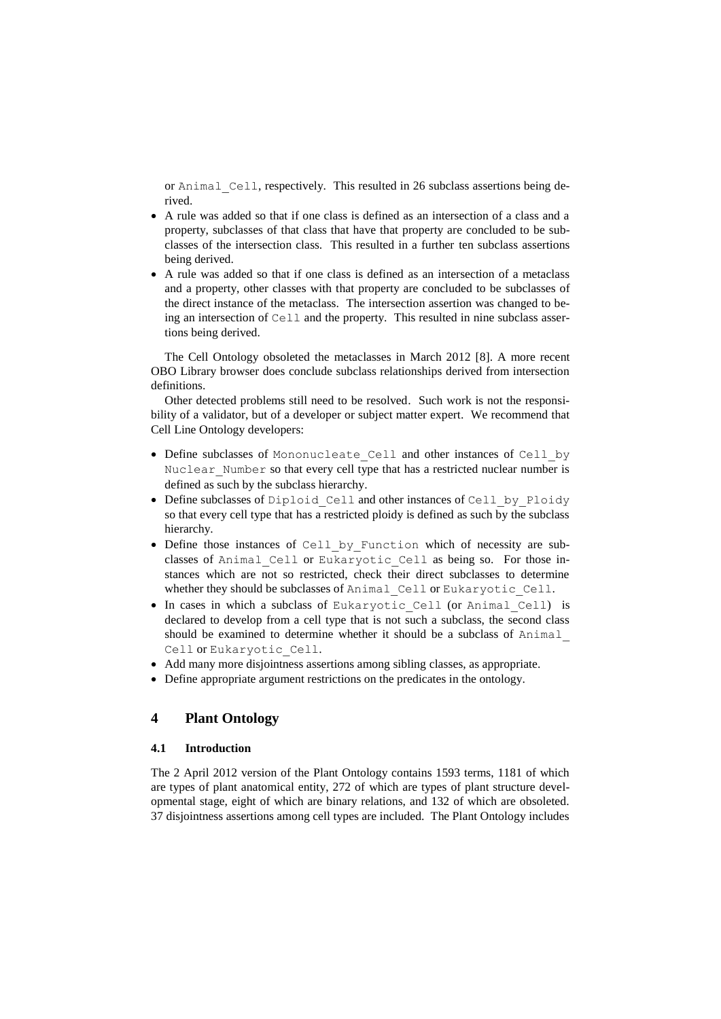or Animal\_Cell, respectively. This resulted in 26 subclass assertions being derived.

- A rule was added so that if one class is defined as an intersection of a class and a property, subclasses of that class that have that property are concluded to be subclasses of the intersection class. This resulted in a further ten subclass assertions being derived.
- A rule was added so that if one class is defined as an intersection of a metaclass and a property, other classes with that property are concluded to be subclasses of the direct instance of the metaclass. The intersection assertion was changed to being an intersection of Cell and the property. This resulted in nine subclass assertions being derived.

The Cell Ontology obsoleted the metaclasses in March 2012 [8]. A more recent OBO Library browser does conclude subclass relationships derived from intersection definitions.

Other detected problems still need to be resolved. Such work is not the responsibility of a validator, but of a developer or subject matter expert. We recommend that Cell Line Ontology developers:

- Define subclasses of Mononucleate Cell and other instances of Cell by Nuclear Number so that every cell type that has a restricted nuclear number is defined as such by the subclass hierarchy.
- Define subclasses of Diploid Cell and other instances of Cell by Ploidy so that every cell type that has a restricted ploidy is defined as such by the subclass hierarchy.
- Define those instances of Cell\_by\_Function which of necessity are subclasses of Animal Cell or Eukaryotic Cell as being so. For those instances which are not so restricted, check their direct subclasses to determine whether they should be subclasses of Animal Cell or Eukaryotic Cell.
- In cases in which a subclass of Eukaryotic Cell (or Animal Cell) is declared to develop from a cell type that is not such a subclass, the second class should be examined to determine whether it should be a subclass of Animal\_ Cell or Eukaryotic\_Cell.
- Add many more disjointness assertions among sibling classes, as appropriate.
- Define appropriate argument restrictions on the predicates in the ontology.

## **4 Plant Ontology**

### **4.1 Introduction**

The 2 April 2012 version of the Plant Ontology contains 1593 terms, 1181 of which are types of plant anatomical entity, 272 of which are types of plant structure developmental stage, eight of which are binary relations, and 132 of which are obsoleted. 37 disjointness assertions among cell types are included. The Plant Ontology includes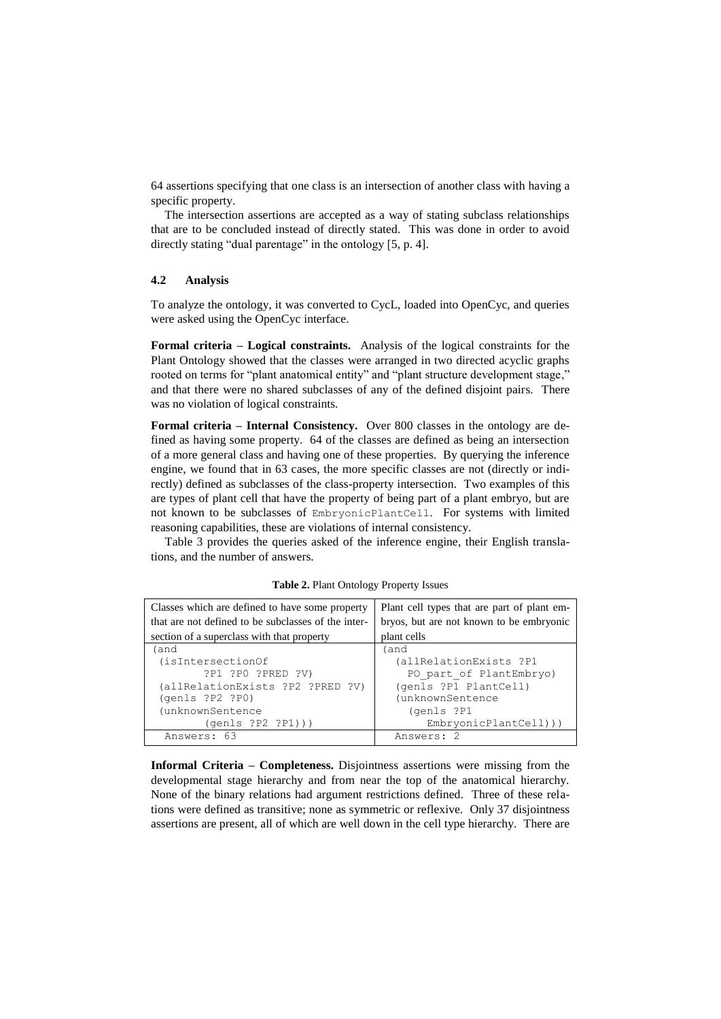64 assertions specifying that one class is an intersection of another class with having a specific property.

The intersection assertions are accepted as a way of stating subclass relationships that are to be concluded instead of directly stated. This was done in order to avoid directly stating "dual parentage" in the ontology [5, p. 4].

### **4.2 Analysis**

To analyze the ontology, it was converted to CycL, loaded into OpenCyc, and queries were asked using the OpenCyc interface.

**Formal criteria – Logical constraints.** Analysis of the logical constraints for the Plant Ontology showed that the classes were arranged in two directed acyclic graphs rooted on terms for "plant anatomical entity" and "plant structure development stage," and that there were no shared subclasses of any of the defined disjoint pairs. There was no violation of logical constraints.

**Formal criteria – Internal Consistency.** Over 800 classes in the ontology are defined as having some property. 64 of the classes are defined as being an intersection of a more general class and having one of these properties. By querying the inference engine, we found that in 63 cases, the more specific classes are not (directly or indirectly) defined as subclasses of the class-property intersection. Two examples of this are types of plant cell that have the property of being part of a plant embryo, but are not known to be subclasses of EmbryonicPlantCell. For systems with limited reasoning capabilities, these are violations of internal consistency.

Table 3 provides the queries asked of the inference engine, their English translations, and the number of answers.

| Classes which are defined to have some property     | Plant cell types that are part of plant em- |
|-----------------------------------------------------|---------------------------------------------|
| that are not defined to be subclasses of the inter- | bryos, but are not known to be embryonic    |
| section of a superclass with that property          | plant cells                                 |
| (and                                                | (and                                        |
| (isIntersectionOf                                   | (allRelationExists ?P1                      |
| ?P1 ?P0 ?PRED ?V)                                   | PO_part_of PlantEmbryo)                     |
| (allRelationExists ?P2 ?PRED ?V)                    | (genls ?P1 PlantCell)                       |
| (qents ?P2 ?P0)                                     | (unknownSentence                            |
| (unknownSentence                                    | (genls ?P1                                  |
| (qents ?P2 ?P1))                                    | $EmbryonicPlantCell))$ )                    |
| Answers: 63                                         | Answers: 2                                  |

**Table 2.** Plant Ontology Property Issues

**Informal Criteria – Completeness.** Disjointness assertions were missing from the developmental stage hierarchy and from near the top of the anatomical hierarchy. None of the binary relations had argument restrictions defined. Three of these relations were defined as transitive; none as symmetric or reflexive. Only 37 disjointness assertions are present, all of which are well down in the cell type hierarchy. There are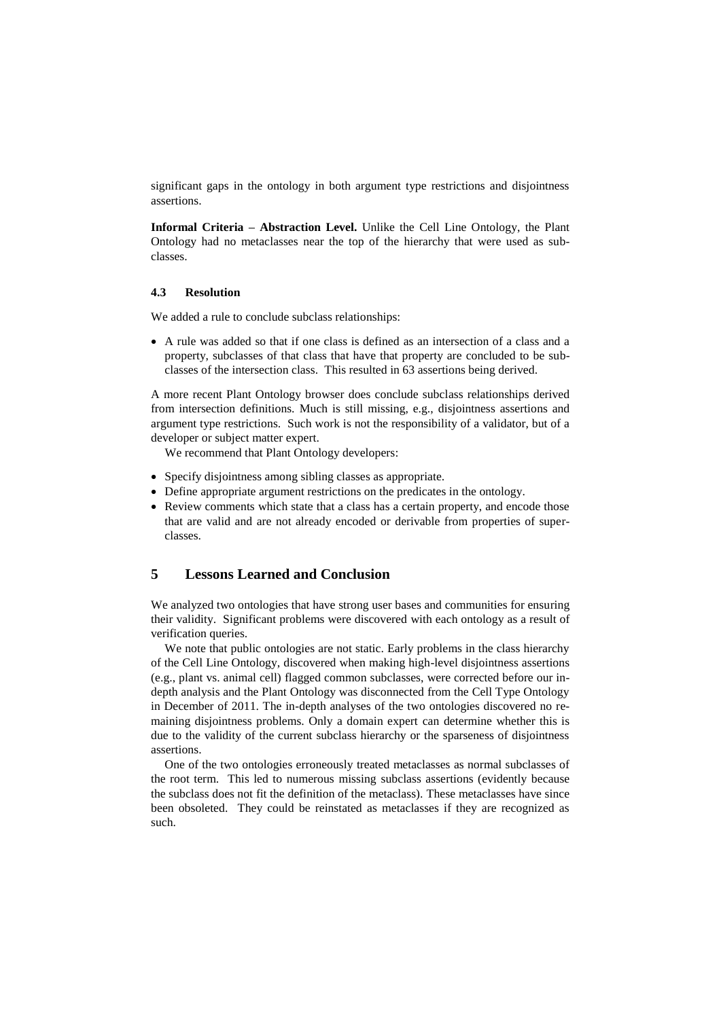significant gaps in the ontology in both argument type restrictions and disjointness assertions.

**Informal Criteria – Abstraction Level.** Unlike the Cell Line Ontology, the Plant Ontology had no metaclasses near the top of the hierarchy that were used as subclasses.

#### **4.3 Resolution**

We added a rule to conclude subclass relationships:

 A rule was added so that if one class is defined as an intersection of a class and a property, subclasses of that class that have that property are concluded to be subclasses of the intersection class. This resulted in 63 assertions being derived.

A more recent Plant Ontology browser does conclude subclass relationships derived from intersection definitions. Much is still missing, e.g., disjointness assertions and argument type restrictions. Such work is not the responsibility of a validator, but of a developer or subject matter expert.

We recommend that Plant Ontology developers:

- Specify disjointness among sibling classes as appropriate.
- Define appropriate argument restrictions on the predicates in the ontology.
- Review comments which state that a class has a certain property, and encode those that are valid and are not already encoded or derivable from properties of superclasses.

### **5 Lessons Learned and Conclusion**

We analyzed two ontologies that have strong user bases and communities for ensuring their validity. Significant problems were discovered with each ontology as a result of verification queries.

We note that public ontologies are not static. Early problems in the class hierarchy of the Cell Line Ontology, discovered when making high-level disjointness assertions (e.g., plant vs. animal cell) flagged common subclasses, were corrected before our indepth analysis and the Plant Ontology was disconnected from the Cell Type Ontology in December of 2011. The in-depth analyses of the two ontologies discovered no remaining disjointness problems. Only a domain expert can determine whether this is due to the validity of the current subclass hierarchy or the sparseness of disjointness assertions.

One of the two ontologies erroneously treated metaclasses as normal subclasses of the root term. This led to numerous missing subclass assertions (evidently because the subclass does not fit the definition of the metaclass). These metaclasses have since been obsoleted. They could be reinstated as metaclasses if they are recognized as such.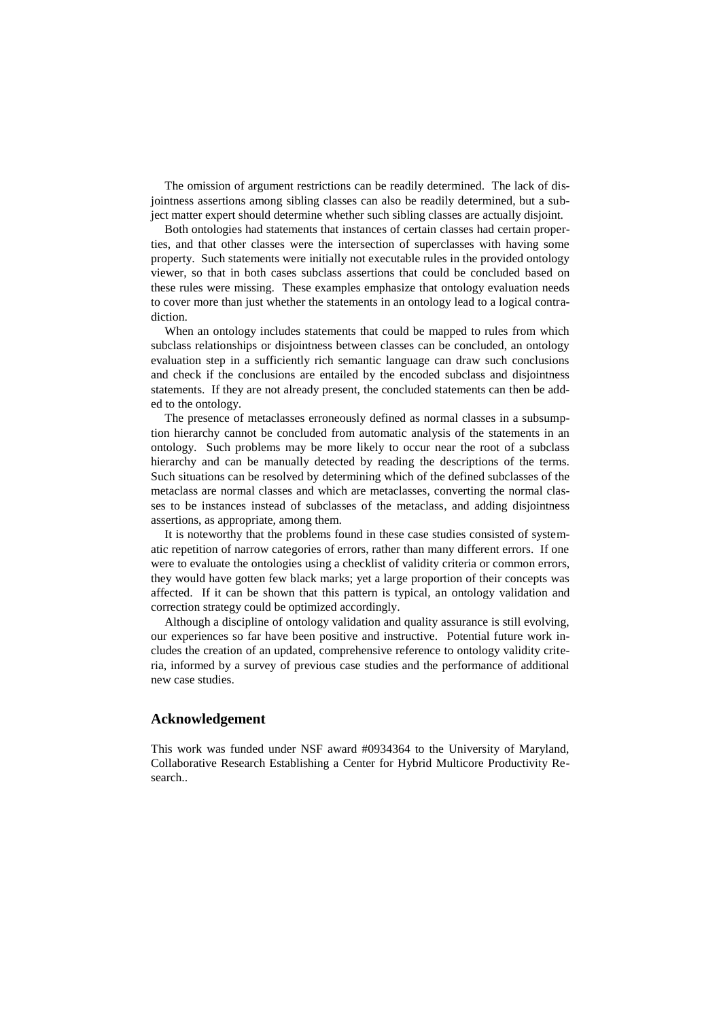The omission of argument restrictions can be readily determined. The lack of disjointness assertions among sibling classes can also be readily determined, but a subject matter expert should determine whether such sibling classes are actually disjoint.

Both ontologies had statements that instances of certain classes had certain properties, and that other classes were the intersection of superclasses with having some property. Such statements were initially not executable rules in the provided ontology viewer, so that in both cases subclass assertions that could be concluded based on these rules were missing. These examples emphasize that ontology evaluation needs to cover more than just whether the statements in an ontology lead to a logical contradiction.

When an ontology includes statements that could be mapped to rules from which subclass relationships or disjointness between classes can be concluded, an ontology evaluation step in a sufficiently rich semantic language can draw such conclusions and check if the conclusions are entailed by the encoded subclass and disjointness statements. If they are not already present, the concluded statements can then be added to the ontology.

The presence of metaclasses erroneously defined as normal classes in a subsumption hierarchy cannot be concluded from automatic analysis of the statements in an ontology. Such problems may be more likely to occur near the root of a subclass hierarchy and can be manually detected by reading the descriptions of the terms. Such situations can be resolved by determining which of the defined subclasses of the metaclass are normal classes and which are metaclasses, converting the normal classes to be instances instead of subclasses of the metaclass, and adding disjointness assertions, as appropriate, among them.

It is noteworthy that the problems found in these case studies consisted of systematic repetition of narrow categories of errors, rather than many different errors. If one were to evaluate the ontologies using a checklist of validity criteria or common errors, they would have gotten few black marks; yet a large proportion of their concepts was affected. If it can be shown that this pattern is typical, an ontology validation and correction strategy could be optimized accordingly.

Although a discipline of ontology validation and quality assurance is still evolving, our experiences so far have been positive and instructive. Potential future work includes the creation of an updated, comprehensive reference to ontology validity criteria, informed by a survey of previous case studies and the performance of additional new case studies.

#### **Acknowledgement**

This work was funded under NSF award #0934364 to the University of Maryland, Collaborative Research Establishing a Center for Hybrid Multicore Productivity Research..